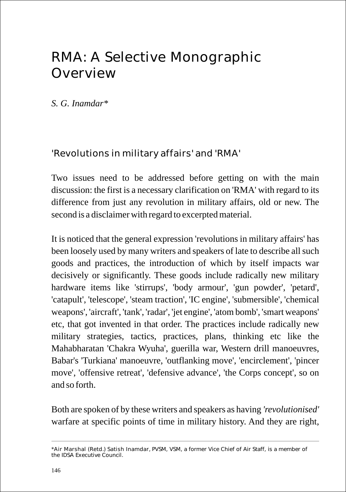# RMA: A Selective Monographic Overview

*S. G. Inamdar\**

'Revolutions in military affairs' and 'RMA'

Two issues need to be addressed before getting on with the main discussion: the first is a necessary clarification on 'RMA' with regard to its difference from just any revolution in military affairs, old or new. The second is a disclaimer with regard to excerpted material.

It is noticed that the general expression 'revolutions in military affairs' has been loosely used by many writers and speakers of late to describe all such goods and practices, the introduction of which by itself impacts war decisively or significantly. These goods include radically new military hardware items like 'stirrups', 'body armour', 'gun powder', 'petard', 'catapult', 'telescope', 'steam traction', 'IC engine', 'submersible', 'chemical weapons', 'aircraft', 'tank', 'radar', 'jet engine', 'atom bomb', 'smart weapons' etc, that got invented in that order. The practices include radically new military strategies, tactics, practices, plans, thinking etc like the Mahabharatan 'Chakra Wyuha', guerilla war, Western drill manoeuvres, Babar's 'Turkiana' manoeuvre, 'outflanking move', 'encirclement', 'pincer move', 'offensive retreat', 'defensive advance', 'the Corps concept', so on and so forth.

Both are spoken of by these writers and speakers as having *'revolutionised'*  warfare at specific points of time in military history. And they are right,

<sup>\*</sup>Air Marshal (Retd.) Satish Inamdar, PVSM, VSM, a former Vice Chief of Air Staff, is a member of the IDSA Executive Council.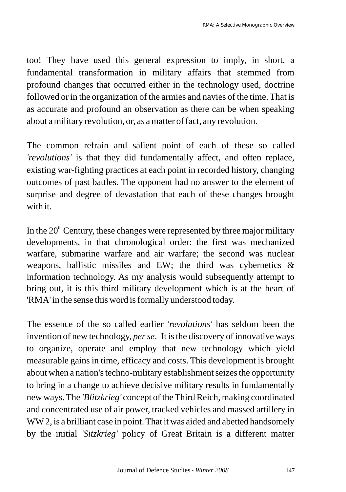too! They have used this general expression to imply, in short, a fundamental transformation in military affairs that stemmed from profound changes that occurred either in the technology used, doctrine followed or in the organization of the armies and navies of the time. That is as accurate and profound an observation as there can be when speaking about a military revolution, or, as a matter of fact, any revolution.

The common refrain and salient point of each of these so called *'revolutions'* is that they did fundamentally affect, and often replace, existing war-fighting practices at each point in recorded history, changing outcomes of past battles. The opponent had no answer to the element of surprise and degree of devastation that each of these changes brought with it.

In the  $20<sup>th</sup>$  Century, these changes were represented by three major military developments, in that chronological order: the first was mechanized warfare, submarine warfare and air warfare; the second was nuclear weapons, ballistic missiles and EW; the third was cybernetics & information technology. As my analysis would subsequently attempt to bring out, it is this third military development which is at the heart of 'RMA' in the sense this word is formally understood today.

The essence of the so called earlier *'revolutions'* has seldom been the invention of new technology, *per se*. It is the discovery of innovative ways to organize, operate and employ that new technology which yield measurable gains in time, efficacy and costs. This development is brought about when a nation's techno-military establishment seizes the opportunity to bring in a change to achieve decisive military results in fundamentally new ways. The *'Blitzkrieg'* concept of the Third Reich, making coordinated and concentrated use of air power, tracked vehicles and massed artillery in WW2, is a brilliant case in point. That it was aided and abetted handsomely by the initial *'Sitzkrieg'* policy of Great Britain is a different matter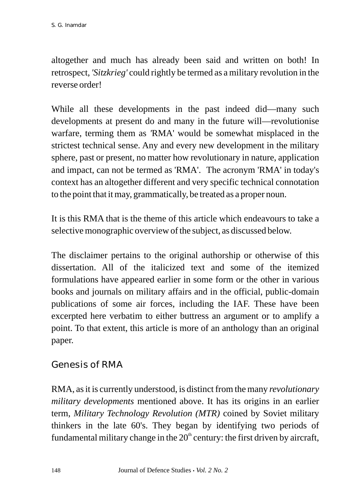altogether and much has already been said and written on both! In retrospect, *'Sitzkrieg'* could rightly be termed as a military revolution in the reverse order!

While all these developments in the past indeed did—many such developments at present do and many in the future will—revolutionise warfare, terming them as *'*RMA' would be somewhat misplaced in the strictest technical sense. Any and every new development in the military sphere, past or present, no matter how revolutionary in nature, application and impact, can not be termed as 'RMA'. The acronym 'RMA' in today's context has an altogether different and very specific technical connotation to the point that it may, grammatically, be treated as a proper noun.

It is this RMA that is the theme of this article which endeavours to take a selective monographic overview of the subject, as discussed below.

The disclaimer pertains to the original authorship or otherwise of this dissertation. All of the italicized text and some of the itemized formulations have appeared earlier in some form or the other in various books and journals on military affairs and in the official, public-domain publications of some air forces, including the IAF. These have been excerpted here verbatim to either buttress an argument or to amplify a point. To that extent, this article is more of an anthology than an original paper.

Genesis of RMA

RMA, as it is currently understood, is distinct from the many *revolutionary military developments* mentioned above. It has its origins in an earlier term, *Military Technology Revolution (MTR)* coined by Soviet military thinkers in the late 60's. They began by identifying two periods of fundamental military change in the  $20<sup>th</sup>$  century: the first driven by aircraft,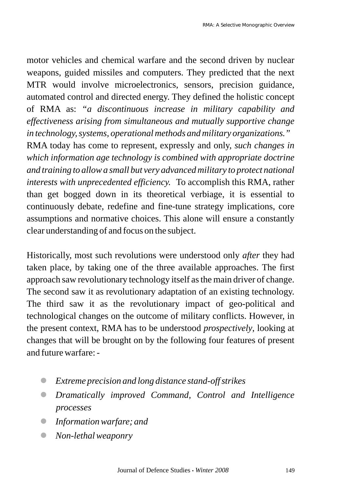motor vehicles and chemical warfare and the second driven by nuclear weapons, guided missiles and computers. They predicted that the next MTR would involve microelectronics, sensors, precision guidance, automated control and directed energy. They defined the holistic concept of RMA as: *"a discontinuous increase in military capability and effectiveness arising from simultaneous and mutually supportive change in technology, systems, operational methods and military organizations."*

RMA today has come to represent, expressly and only, *such changes in which information age technology is combined with appropriate doctrine and training to allow a small but very advanced military to protect national interests with unprecedented efficiency.* To accomplish this RMA, rather than get bogged down in its theoretical verbiage, it is essential to continuously debate, redefine and fine-tune strategy implications, core assumptions and normative choices. This alone will ensure a constantly clear understanding of and focus on the subject.

Historically, most such revolutions were understood only *after* they had taken place, by taking one of the three available approaches. The first approach saw revolutionary technology itself as the main driver of change. The second saw it as revolutionary adaptation of an existing technology. The third saw it as the revolutionary impact of geo-political and technological changes on the outcome of military conflicts. However, in the present context, RMA has to be understood *prospectively*, looking at changes that will be brought on by the following four features of present and future warfare: -

- *Extreme precision and long distance stand-off strikes* l
- *Dramatically improved Command, Control and Intelligence*  l *processes*
- *Information warfare; and* l
- *Non-lethal weaponry* l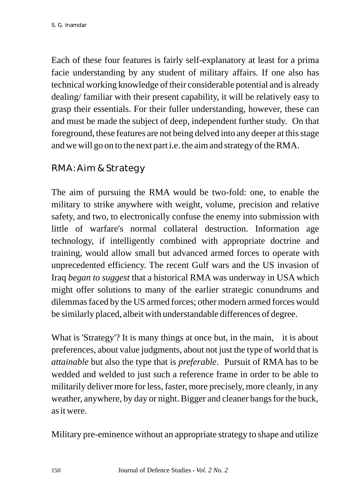Each of these four features is fairly self-explanatory at least for a prima facie understanding by any student of military affairs. If one also has technical working knowledge of their considerable potential and is already dealing/ familiar with their present capability, it will be relatively easy to grasp their essentials. For their fuller understanding, however, these can and must be made the subject of deep, independent further study. On that foreground, these features are not being delved into any deeper at this stage and we will go on to the next part i.e. the aim and strategy of the RMA.

#### RMA: Aim & Strategy

The aim of pursuing the RMA would be two-fold: one, to enable the military to strike anywhere with weight, volume, precision and relative safety, and two, to electronically confuse the enemy into submission with little of warfare's normal collateral destruction. Information age technology, if intelligently combined with appropriate doctrine and training, would allow small but advanced armed forces to operate with unprecedented efficiency. The recent Gulf wars and the US invasion of Iraq *began to suggest* that a historical RMA was underway in USA which might offer solutions to many of the earlier strategic conundrums and dilemmas faced by the US armed forces; other modern armed forces would be similarly placed, albeit with understandable differences of degree.

What is 'Strategy'? It is many things at once but, in the main, it is about preferences, about value judgments, about not just the type of world that is *attainable* but also the type that is *preferable*. Pursuit of RMA has to be wedded and welded to just such a reference frame in order to be able to militarily deliver more for less, faster, more precisely, more cleanly, in any weather, anywhere, by day or night. Bigger and cleaner bangs for the buck, as it were.

Military pre-eminence without an appropriate strategy to shape and utilize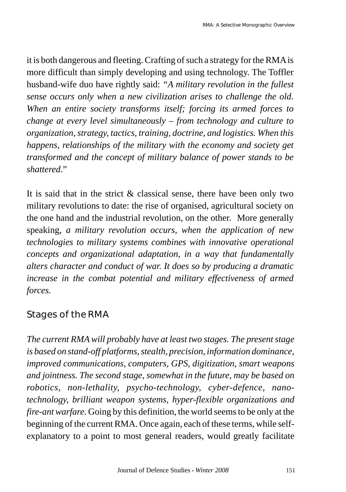it is both dangerous and fleeting. Crafting of such a strategy for the RMAis more difficult than simply developing and using technology. The Toffler husband-wife duo have rightly said: *"A military revolution in the fullest sense occurs only when a new civilization arises to challenge the old. When an entire society transforms itself; forcing its armed forces to change at every level simultaneously – from technology and culture to organization, strategy, tactics, training, doctrine, and logistics. When this happens, relationships of the military with the economy and society get transformed and the concept of military balance of power stands to be shattered*."

It is said that in the strict  $\&$  classical sense, there have been only two military revolutions to date: the rise of organised, agricultural society on the one hand and the industrial revolution, on the other. More generally speaking, *a military revolution occurs, when the application of new technologies to military systems combines with innovative operational concepts and organizational adaptation, in a way that fundamentally alters character and conduct of war. It does so by producing a dramatic increase in the combat potential and military effectiveness of armed forces.* 

## Stages of the RMA

*The current RMA will probably have at least two stages. The present stage is based on stand-off platforms, stealth, precision, information dominance, improved communications, computers, GPS, digitization, smart weapons and jointness. The second stage, somewhat in the future, may be based on robotics, non-lethality, psycho-technology, cyber-defence, nanotechnology, brilliant weapon systems, hyper-flexible organizations and fire-ant warfare.* Going by this definition, the world seems to be only at the beginning of the current RMA. Once again, each of these terms, while selfexplanatory to a point to most general readers, would greatly facilitate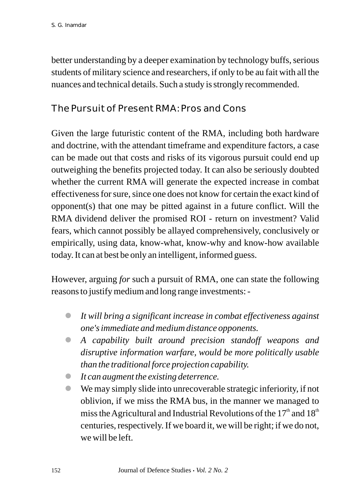better understanding by a deeper examination by technology buffs, serious students of military science and researchers, if only to be au fait with all the nuances and technical details. Such a study is strongly recommended.

#### The Pursuit of Present RMA: Pros and Cons

Given the large futuristic content of the RMA, including both hardware and doctrine, with the attendant timeframe and expenditure factors, a case can be made out that costs and risks of its vigorous pursuit could end up outweighing the benefits projected today. It can also be seriously doubted whether the current RMA will generate the expected increase in combat effectiveness for sure, since one does not know for certain the exact kind of opponent(s) that one may be pitted against in a future conflict. Will the RMA dividend deliver the promised ROI - return on investment? Valid fears, which cannot possibly be allayed comprehensively, conclusively or empirically, using data, know-what, know-why and know-how available today. It can at best be only an intelligent, informed guess.

However, arguing *for* such a pursuit of RMA, one can state the following reasons to justify medium and long range investments: -

- *It will bring a significant increase in combat effectiveness against*  l *one's immediate and medium distance opponents.*
- *A capability built around precision standoff weapons and*  l *disruptive information warfare, would be more politically usable than the traditional force projection capability.*
- *It can augment the existing deterrence.* l
- We may simply slide into unrecoverable strategic inferiority, if not l oblivion, if we miss the RMA bus, in the manner we managed to miss the Agricultural and Industrial Revolutions of the  $17<sup>th</sup>$  and  $18<sup>th</sup>$ centuries, respectively. If we board it, we will be right; if we do not, we will be left.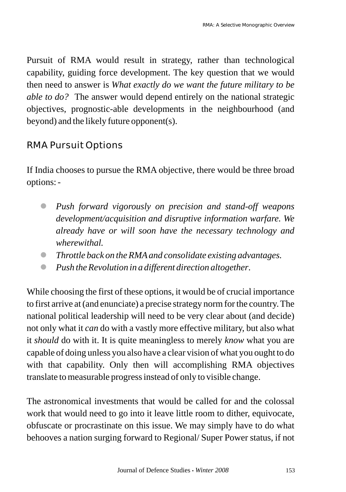Pursuit of RMA would result in strategy, rather than technological capability, guiding force development. The key question that we would then need to answer is *What exactly do we want the future military to be able to do?* The answer would depend entirely on the national strategic objectives, prognostic-able developments in the neighbourhood (and beyond) and the likely future opponent(s).

## RMA Pursuit Options

If India chooses to pursue the RMA objective, there would be three broad options: -

- *Push forward vigorously on precision and stand-off weapons*  l *development/acquisition and disruptive information warfare. We already have or will soon have the necessary technology and wherewithal.*
- *Throttle back on the RMAand consolidate existing advantages.* l
- *Push the Revolution in a different direction altogether*. l

While choosing the first of these options, it would be of crucial importance to first arrive at (and enunciate) a precise strategy norm for the country. The national political leadership will need to be very clear about (and decide) not only what it *can* do with a vastly more effective military, but also what it *should* do with it. It is quite meaningless to merely *know* what you are capable of doing unless you also have a clear vision of what you ought to do with that capability. Only then will accomplishing RMA objectives translate to measurable progress instead of only to visible change.

The astronomical investments that would be called for and the colossal work that would need to go into it leave little room to dither, equivocate, obfuscate or procrastinate on this issue. We may simply have to do what behooves a nation surging forward to Regional/ Super Power status, if not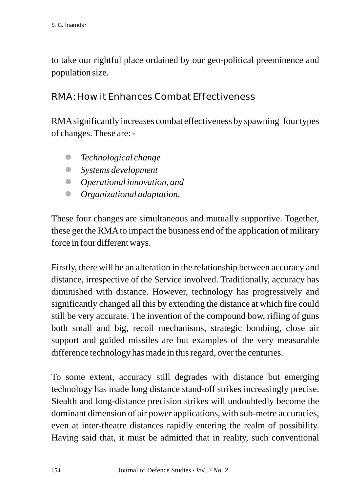to take our rightful place ordained by our geo-political preeminence and population size.

RMA: How it Enhances Combat Effectiveness

RMAsignificantly increases combat effectiveness by spawning four types of changes. These are: -

- *Technological change* l
- *Systems development* l
- *Operational innovation, and* l
- *Organizational adaptation.* l

These four changes are simultaneous and mutually supportive. Together, these get the RMA to impact the business end of the application of military force in four different ways.

Firstly, there will be an alteration in the relationship between accuracy and distance, irrespective of the Service involved. Traditionally, accuracy has diminished with distance. However, technology has progressively and significantly changed all this by extending the distance at which fire could still be very accurate. The invention of the compound bow, rifling of guns both small and big, recoil mechanisms, strategic bombing, close air support and guided missiles are but examples of the very measurable difference technology has made in this regard, over the centuries.

To some extent, accuracy still degrades with distance but emerging technology has made long distance stand-off strikes increasingly precise. Stealth and long-distance precision strikes will undoubtedly become the dominant dimension of air power applications, with sub-metre accuracies, even at inter-theatre distances rapidly entering the realm of possibility. Having said that, it must be admitted that in reality, such conventional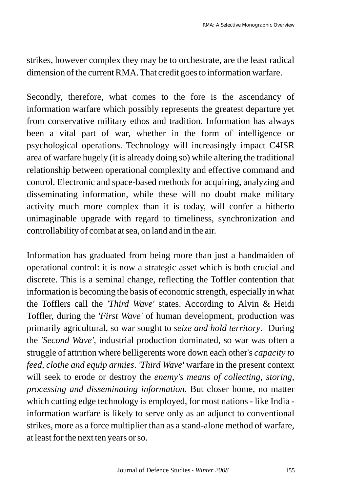strikes, however complex they may be to orchestrate, are the least radical dimension of the current RMA. That credit goes to information warfare.

Secondly, therefore, what comes to the fore is the ascendancy of information warfare which possibly represents the greatest departure yet from conservative military ethos and tradition. Information has always been a vital part of war, whether in the form of intelligence or psychological operations. Technology will increasingly impact C4ISR area of warfare hugely (it is already doing so) while altering the traditional relationship between operational complexity and effective command and control. Electronic and space-based methods for acquiring, analyzing and disseminating information, while these will no doubt make military activity much more complex than it is today, will confer a hitherto unimaginable upgrade with regard to timeliness, synchronization and controllability of combat at sea, on land and in the air.

Information has graduated from being more than just a handmaiden of operational control: it is now a strategic asset which is both crucial and discrete. This is a seminal change, reflecting the Toffler contention that information is becoming the basis of economic strength, especially in what the Tofflers call the *'Third Wave'* states. According to Alvin & Heidi Toffler, during the *'First Wave'* of human development, production was primarily agricultural, so war sought to *seize and hold territory*. During the *'Second Wave'*, industrial production dominated, so war was often a struggle of attrition where belligerents wore down each other's *capacity to feed, clothe and equip armies*. *'Third Wave'* warfare in the present context will seek to erode or destroy the *enemy's means of collecting, storing, processing and disseminating information.* But closer home, no matter which cutting edge technology is employed, for most nations - like India information warfare is likely to serve only as an adjunct to conventional strikes, more as a force multiplier than as a stand-alone method of warfare, at least for the next ten years or so.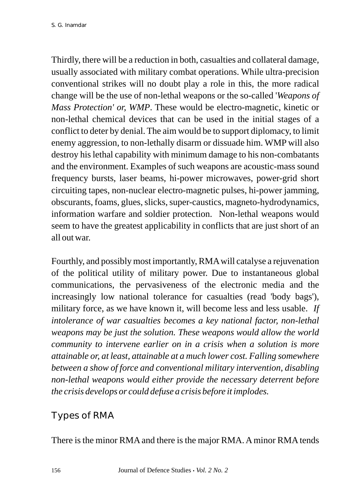Thirdly, there will be a reduction in both, casualties and collateral damage, usually associated with military combat operations. While ultra-precision conventional strikes will no doubt play a role in this, the more radical change will be the use of non-lethal weapons or the so-called '*Weapons of Mass Protection' or, WMP*. These would be electro-magnetic, kinetic or non-lethal chemical devices that can be used in the initial stages of a conflict to deter by denial. The aim would be to support diplomacy, to limit enemy aggression, to non-lethally disarm or dissuade him. WMP will also destroy his lethal capability with minimum damage to his non-combatants and the environment. Examples of such weapons are acoustic-mass sound frequency bursts, laser beams, hi-power microwaves, power-grid short circuiting tapes, non-nuclear electro-magnetic pulses, hi-power jamming, obscurants, foams, glues, slicks, super-caustics, magneto-hydrodynamics, information warfare and soldier protection. Non-lethal weapons would seem to have the greatest applicability in conflicts that are just short of an all out war.

Fourthly, and possibly most importantly, RMAwill catalyse a rejuvenation of the political utility of military power. Due to instantaneous global communications, the pervasiveness of the electronic media and the increasingly low national tolerance for casualties (read 'body bags'), military force, as we have known it, will become less and less usable. *If intolerance of war casualties becomes a key national factor, non-lethal weapons may be just the solution. These weapons would allow the world community to intervene earlier on in a crisis when a solution is more attainable or, at least, attainable at a much lower cost. Falling somewhere between a show of force and conventional military intervention, disabling non-lethal weapons would either provide the necessary deterrent before the crisis develops or could defuse a crisis before it implodes.*

## Types of RMA

There is the minor RMA and there is the major RMA. A minor RMA tends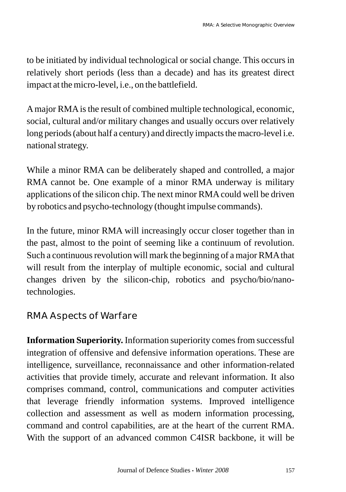to be initiated by individual technological or social change. This occurs in relatively short periods (less than a decade) and has its greatest direct impact at the micro-level, i.e., on the battlefield.

Amajor RMAis the result of combined multiple technological, economic, social, cultural and/or military changes and usually occurs over relatively long periods (about half a century) and directly impacts the macro-level i.e. national strategy.

While a minor RMA can be deliberately shaped and controlled, a major RMA cannot be. One example of a minor RMA underway is military applications of the silicon chip. The next minor RMAcould well be driven by robotics and psycho-technology (thought impulse commands).

In the future, minor RMA will increasingly occur closer together than in the past, almost to the point of seeming like a continuum of revolution. Such a continuous revolution will mark the beginning of a major RMAthat will result from the interplay of multiple economic, social and cultural changes driven by the silicon-chip, robotics and psycho/bio/nanotechnologies.

#### RMA Aspects of Warfare

**Information Superiority.** Information superiority comes from successful integration of offensive and defensive information operations. These are intelligence, surveillance, reconnaissance and other information-related activities that provide timely, accurate and relevant information. It also comprises command, control, communications and computer activities that leverage friendly information systems. Improved intelligence collection and assessment as well as modern information processing, command and control capabilities, are at the heart of the current RMA. With the support of an advanced common C4ISR backbone, it will be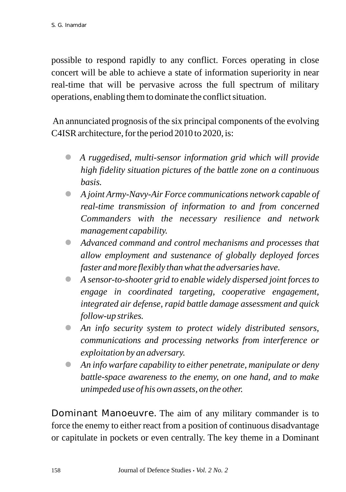possible to respond rapidly to any conflict. Forces operating in close concert will be able to achieve a state of information superiority in near real-time that will be pervasive across the full spectrum of military operations, enabling them to dominate the conflict situation.

An annunciated prognosis of the six principal components of the evolving C4ISR architecture, for the period 2010 to 2020, is:

- *A ruggedised, multi-sensor information grid which will provide*  l *high fidelity situation pictures of the battle zone on a continuous basis.*
- *A joint Army-Navy-Air Force communications network capable of*  l *real-time transmission of information to and from concerned Commanders with the necessary resilience and network management capability.*
- *Advanced command and control mechanisms and processes that*  l *allow employment and sustenance of globally deployed forces faster and more flexibly than what the adversaries have.*
- *A sensor-to-shooter grid to enable widely dispersed joint forces to*  l *engage in coordinated targeting, cooperative engagement, integrated air defense, rapid battle damage assessment and quick follow-up strikes.*
- *An info security system to protect widely distributed sensors,*  l *communications and processing networks from interference or exploitation by an adversary.*
- *An info warfare capability to either penetrate, manipulate or deny*  l *battle-space awareness to the enemy, on one hand, and to make unimpeded use of his own assets, on the other.*

Dominant Manoeuvre. The aim of any military commander is to force the enemy to either react from a position of continuous disadvantage or capitulate in pockets or even centrally. The key theme in a Dominant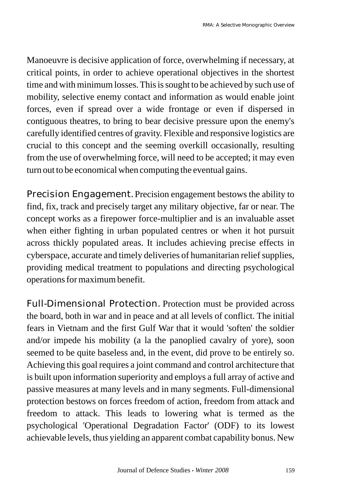Manoeuvre is decisive application of force, overwhelming if necessary, at critical points, in order to achieve operational objectives in the shortest time and with minimum losses. This is sought to be achieved by such use of mobility, selective enemy contact and information as would enable joint forces, even if spread over a wide frontage or even if dispersed in contiguous theatres, to bring to bear decisive pressure upon the enemy's carefully identified centres of gravity. Flexible and responsive logistics are crucial to this concept and the seeming overkill occasionally, resulting from the use of overwhelming force, will need to be accepted; it may even turn out to be economical when computing the eventual gains.

Precision Engagement. Precision engagement bestows the ability to find, fix, track and precisely target any military objective, far or near. The concept works as a firepower force-multiplier and is an invaluable asset when either fighting in urban populated centres or when it hot pursuit across thickly populated areas. It includes achieving precise effects in cyberspace, accurate and timely deliveries of humanitarian relief supplies, providing medical treatment to populations and directing psychological operations for maximum benefit.

Full-Dimensional Protection. Protection must be provided across the board, both in war and in peace and at all levels of conflict. The initial fears in Vietnam and the first Gulf War that it would 'soften' the soldier and/or impede his mobility (a la the panoplied cavalry of yore), soon seemed to be quite baseless and, in the event, did prove to be entirely so. Achieving this goal requires a joint command and control architecture that is built upon information superiority and employs a full array of active and passive measures at many levels and in many segments. Full-dimensional protection bestows on forces freedom of action, freedom from attack and freedom to attack. This leads to lowering what is termed as the psychological 'Operational Degradation Factor' (ODF) to its lowest achievable levels, thus yielding an apparent combat capability bonus. New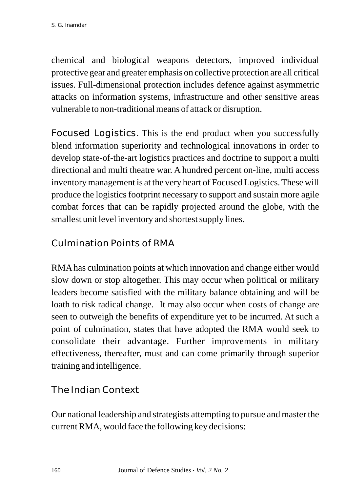chemical and biological weapons detectors, improved individual protective gear and greater emphasis on collective protection are all critical issues. Full-dimensional protection includes defence against asymmetric attacks on information systems, infrastructure and other sensitive areas vulnerable to non-traditional means of attack or disruption.

Focused Logistics. This is the end product when you successfully blend information superiority and technological innovations in order to develop state-of-the-art logistics practices and doctrine to support a multi directional and multi theatre war. A hundred percent on-line, multi access inventory management is at the very heart of Focused Logistics. These will produce the logistics footprint necessary to support and sustain more agile combat forces that can be rapidly projected around the globe, with the smallest unit level inventory and shortest supply lines.

# Culmination Points of RMA

RMAhas culmination points at which innovation and change either would slow down or stop altogether. This may occur when political or military leaders become satisfied with the military balance obtaining and will be loath to risk radical change. It may also occur when costs of change are seen to outweigh the benefits of expenditure yet to be incurred. At such a point of culmination, states that have adopted the RMA would seek to consolidate their advantage. Further improvements in military effectiveness, thereafter, must and can come primarily through superior training and intelligence.

# The Indian Context

Our national leadership and strategists attempting to pursue and master the current RMA, would face the following key decisions: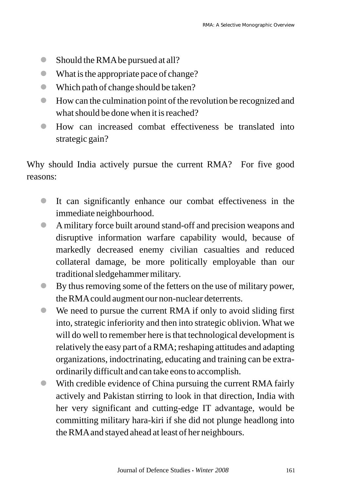- Should the RMA be pursued at all?
- l What is the appropriate pace of change?
- l Which path of change should be taken?
- l How can the culmination point of the revolution be recognized and what should be done when it is reached?
- l How can increased combat effectiveness be translated into strategic gain?

Why should India actively pursue the current RMA? For five good reasons:

- l It can significantly enhance our combat effectiveness in the immediate neighbourhood.
- l Amilitary force built around stand-off and precision weapons and disruptive information warfare capability would, because of markedly decreased enemy civilian casualties and reduced collateral damage, be more politically employable than our traditional sledgehammer military.
- l By thus removing some of the fetters on the use of military power, the RMAcould augment our non-nuclear deterrents.
- l We need to pursue the current RMA if only to avoid sliding first into, strategic inferiority and then into strategic oblivion. What we will do well to remember here is that technological development is relatively the easy part of a RMA; reshaping attitudes and adapting organizations, indoctrinating, educating and training can be extraordinarily difficult and can take eons to accomplish.
- With credible evidence of China pursuing the current RMA fairly actively and Pakistan stirring to look in that direction, India with her very significant and cutting-edge IT advantage, would be committing military hara-kiri if she did not plunge headlong into the RMAand stayed ahead at least of her neighbours.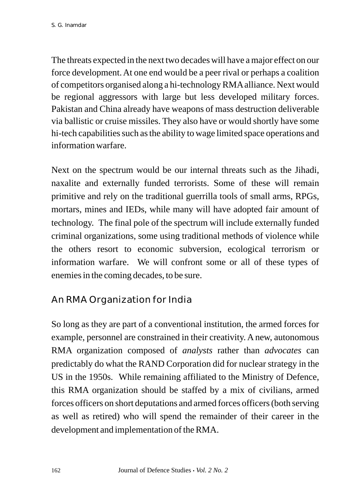The threats expected in the next two decades will have a major effect on our force development. At one end would be a peer rival or perhaps a coalition of competitors organised along a hi-technology RMAalliance. Next would be regional aggressors with large but less developed military forces. Pakistan and China already have weapons of mass destruction deliverable via ballistic or cruise missiles. They also have or would shortly have some hi-tech capabilities such as the ability to wage limited space operations and information warfare.

Next on the spectrum would be our internal threats such as the Jihadi, naxalite and externally funded terrorists. Some of these will remain primitive and rely on the traditional guerrilla tools of small arms, RPGs, mortars, mines and IEDs, while many will have adopted fair amount of technology. The final pole of the spectrum will include externally funded criminal organizations, some using traditional methods of violence while the others resort to economic subversion, ecological terrorism or information warfare. We will confront some or all of these types of enemies in the coming decades, to be sure.

# An RMA Organization for India

So long as they are part of a conventional institution, the armed forces for example, personnel are constrained in their creativity. A new, autonomous RMA organization composed of *analysts* rather than *advocates* can predictably do what the RAND Corporation did for nuclear strategy in the US in the 1950s. While remaining affiliated to the Ministry of Defence, this RMA organization should be staffed by a mix of civilians, armed forces officers on short deputations and armed forces officers (both serving as well as retired) who will spend the remainder of their career in the development and implementation of the RMA.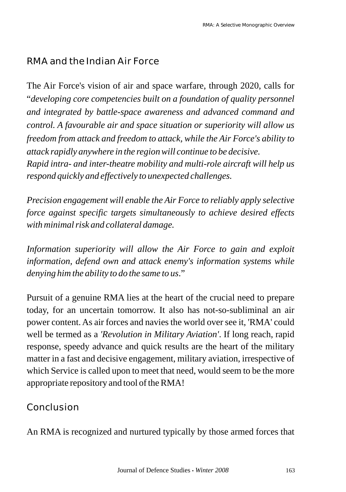# RMA and the Indian Air Force

The Air Force's vision of air and space warfare, through 2020, calls for "*developing core competencies built on a foundation of quality personnel and integrated by battle-space awareness and advanced command and control. A favourable air and space situation or superiority will allow us freedom from attack and freedom to attack, while the Air Force's ability to attack rapidly anywhere in the region will continue to be decisive. Rapid intra- and inter-theatre mobility and multi-role aircraft will help us respond quickly and effectively to unexpected challenges.* 

*Precision engagement will enable the Air Force to reliably apply selective force against specific targets simultaneously to achieve desired effects with minimal risk and collateral damage.* 

*Information superiority will allow the Air Force to gain and exploit information, defend own and attack enemy's information systems while denying him the ability to do the same to us*."

Pursuit of a genuine RMA lies at the heart of the crucial need to prepare today, for an uncertain tomorrow. It also has not-so-subliminal an air power content. As air forces and navies the world over see it, 'RMA' could well be termed as a *'Revolution in Military Aviation'*. If long reach, rapid response, speedy advance and quick results are the heart of the military matter in a fast and decisive engagement, military aviation, irrespective of which Service is called upon to meet that need, would seem to be the more appropriate repository and tool of the RMA!

Conclusion

An RMA is recognized and nurtured typically by those armed forces that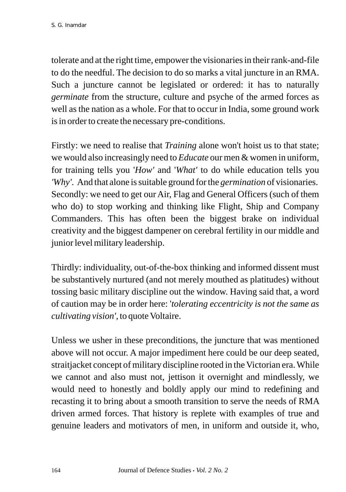tolerate and at the right time, empower the visionaries in their rank-and-file to do the needful. The decision to do so marks a vital juncture in an RMA. Such a juncture cannot be legislated or ordered: it has to naturally *germinate* from the structure, culture and psyche of the armed forces as well as the nation as a whole. For that to occur in India, some ground work is in order to create the necessary pre-conditions.

Firstly: we need to realise that *Training* alone won't hoist us to that state; we would also increasingly need to *Educate* our men & women in uniform, for training tells you '*How'* and '*What'* to do while education tells you *'Why'*. And that alone is suitable ground for the *germination* of visionaries. Secondly: we need to get our Air, Flag and General Officers (such of them who do) to stop working and thinking like Flight, Ship and Company Commanders. This has often been the biggest brake on individual creativity and the biggest dampener on cerebral fertility in our middle and junior level military leadership.

Thirdly: individuality, out-of-the-box thinking and informed dissent must be substantively nurtured (and not merely mouthed as platitudes) without tossing basic military discipline out the window. Having said that, a word of caution may be in order here: '*tolerating eccentricity is not the same as cultivating vision',* to quote Voltaire.

Unless we usher in these preconditions, the juncture that was mentioned above will not occur. A major impediment here could be our deep seated, straitjacket concept of military discipline rooted in the Victorian era. While we cannot and also must not, jettison it overnight and mindlessly, we would need to honestly and boldly apply our mind to redefining and recasting it to bring about a smooth transition to serve the needs of RMA driven armed forces. That history is replete with examples of true and genuine leaders and motivators of men, in uniform and outside it, who,